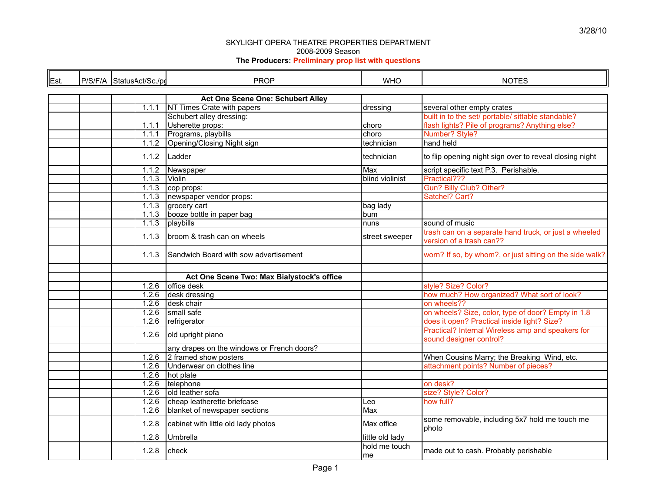| Est. | P/S/F/A StatusAct/Sc./pd | <b>PROP</b>                                | <b>WHO</b>          | <b>NOTES</b>                                                                 |
|------|--------------------------|--------------------------------------------|---------------------|------------------------------------------------------------------------------|
|      |                          |                                            |                     |                                                                              |
|      |                          | Act One Scene One: Schubert Alley          |                     |                                                                              |
|      | 1.1.1                    | NT Times Crate with papers                 | dressing            | several other empty crates                                                   |
|      |                          | Schubert alley dressing:                   |                     | built in to the set/ portable/ sittable standable?                           |
|      | 1.1.1                    | Usherette props:                           | choro               | flash lights? Pile of programs? Anything else?                               |
|      | 1.1.1                    | Programs, playbills                        | choro               | Number? Style?                                                               |
|      | 1.1.2                    | Opening/Closing Night sign                 | technician          | hand held                                                                    |
|      | 1.1.2                    | Ladder                                     | technician          | to flip opening night sign over to reveal closing night                      |
|      | 1.1.2                    | Newspaper                                  | Max                 | script specific text P.3. Perishable.                                        |
|      | 1.1.3                    | Violin                                     | blind violinist     | Practical???                                                                 |
|      | 1.1.3                    | cop props:                                 |                     | Gun? Billy Club? Other?                                                      |
|      | 1.1.3                    | newspaper vendor props:                    |                     | Satchel? Cart?                                                               |
|      | 1.1.3                    | grocery cart                               | bag lady            |                                                                              |
|      | 1.1.3                    | booze bottle in paper bag                  | bum                 |                                                                              |
|      | 1.1.3                    | playbills                                  | nuns                | sound of music                                                               |
|      |                          |                                            |                     | trash can on a separate hand truck, or just a wheeled                        |
|      | 1.1.3                    | broom & trash can on wheels                | street sweeper      | version of a trash can??                                                     |
|      | 1.1.3                    | Sandwich Board with sow advertisement      |                     | worn? If so, by whom?, or just sitting on the side walk?                     |
|      |                          | Act One Scene Two: Max Bialystock's office |                     |                                                                              |
|      | 1.2.6                    | office desk                                |                     | style? Size? Color?                                                          |
|      | 1.2.6                    | desk dressing                              |                     | how much? How organized? What sort of look?                                  |
|      | 1.2.6                    | desk chair                                 |                     | on wheels??                                                                  |
|      | 1.2.6                    | small safe                                 |                     | on wheels? Size, color, type of door? Empty in 1.8                           |
|      | 1.2.6                    | refrigerator                               |                     | does it open? Practical inside light? Size?                                  |
|      | 1.2.6                    | old upright piano                          |                     | Practical? Internal Wireless amp and speakers for<br>sound designer control? |
|      |                          | any drapes on the windows or French doors? |                     |                                                                              |
|      | 1.2.6                    | 2 framed show posters                      |                     | When Cousins Marry; the Breaking Wind, etc.                                  |
|      | 1.2.6                    | Underwear on clothes line                  |                     | attachment points? Number of pieces?                                         |
|      | 1.2.6                    | hot plate                                  |                     |                                                                              |
|      | 1.2.6                    | telephone                                  |                     | on desk?                                                                     |
|      | 1.2.6                    | old leather sofa                           |                     | size? Style? Color?                                                          |
|      | 1.2.6                    | cheap leatherette briefcase                | Leo                 | how full?                                                                    |
|      | 1.2.6                    | blanket of newspaper sections              | Max                 |                                                                              |
|      | 1.2.8                    | cabinet with little old lady photos        | Max office          | some removable, including 5x7 hold me touch me<br>l photo                    |
|      | 1.2.8                    | Umbrella                                   | little old lady     |                                                                              |
|      | 1.2.8                    | check                                      | hold me touch<br>me | made out to cash. Probably perishable                                        |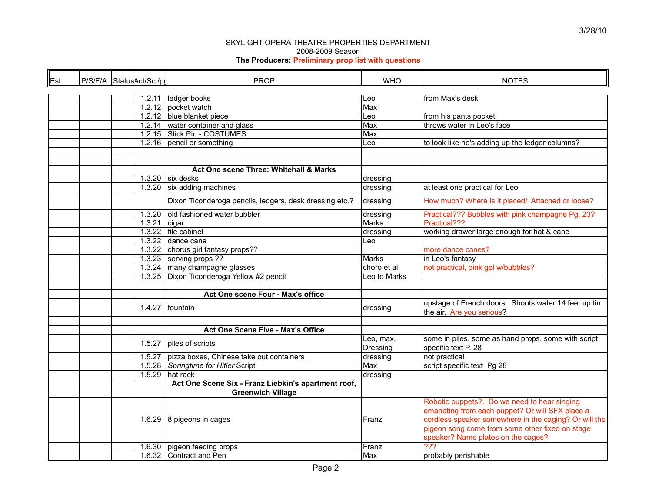| Est. | P/S/F/A StatusAct/Sc./pd |        | <b>PROP</b>                                             | <b>WHO</b>            | <b>NOTES</b>                                                                                                                                                                                                                                      |
|------|--------------------------|--------|---------------------------------------------------------|-----------------------|---------------------------------------------------------------------------------------------------------------------------------------------------------------------------------------------------------------------------------------------------|
|      |                          |        |                                                         |                       |                                                                                                                                                                                                                                                   |
|      |                          |        | 1.2.11 ledger books                                     | Leo                   | from Max's desk                                                                                                                                                                                                                                   |
|      |                          |        | 1.2.12 pocket watch                                     | Max                   |                                                                                                                                                                                                                                                   |
|      |                          |        | 1.2.12 blue blanket piece                               | Leo                   | from his pants pocket                                                                                                                                                                                                                             |
|      |                          |        | 1.2.14 water container and glass                        | Max                   | throws water in Leo's face                                                                                                                                                                                                                        |
|      |                          |        | 1.2.15 Stick Pin - COSTUMES                             | Max                   |                                                                                                                                                                                                                                                   |
|      |                          |        | 1.2.16 pencil or something                              | Leo                   | to look like he's adding up the ledger columns?                                                                                                                                                                                                   |
|      |                          |        |                                                         |                       |                                                                                                                                                                                                                                                   |
|      |                          |        |                                                         |                       |                                                                                                                                                                                                                                                   |
|      |                          |        | Act One scene Three: Whitehall & Marks                  |                       |                                                                                                                                                                                                                                                   |
|      |                          |        | $1.3.20$ six desks                                      | dressing              |                                                                                                                                                                                                                                                   |
|      |                          |        | 1.3.20 $\vert$ six adding machines                      | dressing              | at least one practical for Leo                                                                                                                                                                                                                    |
|      |                          |        |                                                         |                       |                                                                                                                                                                                                                                                   |
|      |                          |        | Dixon Ticonderoga pencils, ledgers, desk dressing etc.? | dressing              | How much? Where is it placed/ Attached or loose?                                                                                                                                                                                                  |
|      |                          | 1.3.20 | old fashioned water bubbler                             | dressing              | Practical??? Bubbles with pink champagne Pg. 23?                                                                                                                                                                                                  |
|      |                          | 1.3.21 | cigar                                                   | Marks                 | Practical???                                                                                                                                                                                                                                      |
|      |                          |        | 1.3.22 file cabinet                                     | dressing              | working drawer large enough for hat & cane                                                                                                                                                                                                        |
|      |                          |        | 1.3.22 dance cane                                       | Leo                   |                                                                                                                                                                                                                                                   |
|      |                          |        | 1.3.22 chorus girl fantasy props??                      |                       | more dance canes?                                                                                                                                                                                                                                 |
|      |                          |        | 1.3.23 serving props ??                                 | <b>Marks</b>          | in Leo's fantasy                                                                                                                                                                                                                                  |
|      |                          |        | 1.3.24 many champagne glasses                           | choro et al           | not practical, pink gel w/bubbles?                                                                                                                                                                                                                |
|      |                          |        | 1.3.25 Dixon Ticonderoga Yellow #2 pencil               | Leo to Marks          |                                                                                                                                                                                                                                                   |
|      |                          |        |                                                         |                       |                                                                                                                                                                                                                                                   |
|      |                          |        | Act One scene Four - Max's office                       |                       |                                                                                                                                                                                                                                                   |
|      |                          |        | 1.4.27 fountain                                         | dressing              | upstage of French doors. Shoots water 14 feet up tin<br>the air. Are you serious?                                                                                                                                                                 |
|      |                          |        |                                                         |                       |                                                                                                                                                                                                                                                   |
|      |                          |        | Act One Scene Five - Max's Office                       |                       |                                                                                                                                                                                                                                                   |
|      |                          |        | 1.5.27 piles of scripts                                 | Leo, max,<br>Dressing | some in piles, some as hand props, some with script<br>specific text P. 28                                                                                                                                                                        |
|      |                          | 1.5.27 | pizza boxes, Chinese take out containers                | dressing              | not practical                                                                                                                                                                                                                                     |
|      |                          |        | 1.5.28 Springtime for Hitler Script                     | Max                   | script specific text Pg 28                                                                                                                                                                                                                        |
|      |                          |        | $1.5.29$ hat rack                                       | dressing              |                                                                                                                                                                                                                                                   |
|      |                          |        | Act One Scene Six - Franz Liebkin's apartment roof,     |                       |                                                                                                                                                                                                                                                   |
|      |                          |        | <b>Greenwich Village</b>                                |                       |                                                                                                                                                                                                                                                   |
|      |                          |        | 1.6.29 8 pigeons in cages                               | Franz                 | Robotic puppets?. Do we need to hear singing<br>emanating from each puppet? Or will SFX place a<br>cordless speaker somewhere in the caging? Or will the<br>pigeon song come from some other fixed on stage<br>speaker? Name plates on the cages? |
|      |                          |        | 1.6.30 pigeon feeding props                             | Franz                 | $\overline{???}$                                                                                                                                                                                                                                  |
|      |                          |        | 1.6.32 Contract and Pen                                 | Max                   | probably perishable                                                                                                                                                                                                                               |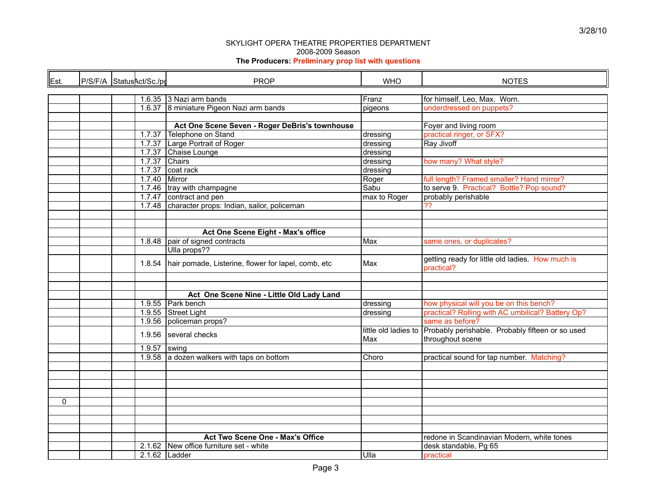| Est. | P/S/F/A StatusAct/Sc./pd |  |                 | <b>PROP</b>                                                  | <b>WHO</b>   | <b>NOTES</b>                                                                              |  |  |
|------|--------------------------|--|-----------------|--------------------------------------------------------------|--------------|-------------------------------------------------------------------------------------------|--|--|
|      |                          |  |                 |                                                              |              |                                                                                           |  |  |
|      |                          |  |                 | 1.6.35 3 Nazi arm bands                                      | Franz        | for himself, Leo, Max. Worn.                                                              |  |  |
|      |                          |  |                 | 1.6.37 8 miniature Pigeon Nazi arm bands                     | pigeons      | underdressed on puppets?                                                                  |  |  |
|      |                          |  |                 |                                                              |              |                                                                                           |  |  |
|      |                          |  |                 | Act One Scene Seven - Roger DeBris's townhouse               |              | Foyer and living room                                                                     |  |  |
|      |                          |  | 1.7.37          | Telephone on Stand                                           | dressing     | practical ringer, or SFX?                                                                 |  |  |
|      |                          |  |                 | 1.7.37 Large Portrait of Roger                               | dressing     | Ray Jivoff                                                                                |  |  |
|      |                          |  | 1.7.37          | Chaise Lounge                                                | dressing     |                                                                                           |  |  |
|      |                          |  | 1.7.37 Chairs   |                                                              | dressing     | how many? What style?                                                                     |  |  |
|      |                          |  | 1.7.37          | coat rack                                                    | dressing     |                                                                                           |  |  |
|      |                          |  | $1.7.40$ Mirror |                                                              | Roger        | full length? Framed smaller? Hand mirror?                                                 |  |  |
|      |                          |  |                 | 1.7.46   tray with champagne                                 | Sabu         | to serve 9. Practical? Bottle? Pop sound?                                                 |  |  |
|      |                          |  |                 | 1.7.47 contract and pen                                      | max to Roger | probably perishable                                                                       |  |  |
|      |                          |  |                 | 1.7.48 character props: Indian, sailor, policeman            |              | ??                                                                                        |  |  |
|      |                          |  |                 |                                                              |              |                                                                                           |  |  |
|      |                          |  |                 |                                                              |              |                                                                                           |  |  |
|      |                          |  |                 | Act One Scene Eight - Max's office                           |              |                                                                                           |  |  |
|      |                          |  | 1.8.48          | pair of signed contracts                                     | Max          | same ones, or duplicates?                                                                 |  |  |
|      |                          |  |                 | Ulla props??                                                 |              |                                                                                           |  |  |
|      |                          |  |                 | 1.8.54   hair pomade, Listerine, flower for lapel, comb, etc | Max          | getting ready for little old ladies. How much is<br>practical?                            |  |  |
|      |                          |  |                 |                                                              |              |                                                                                           |  |  |
|      |                          |  |                 |                                                              |              |                                                                                           |  |  |
|      |                          |  |                 | Act One Scene Nine - Little Old Lady Land                    |              |                                                                                           |  |  |
|      |                          |  |                 | 1.9.55 Park bench                                            | dressing     | how physical will you be on this bench?                                                   |  |  |
|      |                          |  |                 | 1.9.55 Street Light                                          | dressing     | practical? Rolling with AC umbilical? Battery Op?                                         |  |  |
|      |                          |  | 1.9.56          | policeman props?                                             |              | same as before?                                                                           |  |  |
|      |                          |  |                 | 1.9.56 several checks                                        | Max          | little old ladies to Probably perishable. Probably fifteen or so used<br>throughout scene |  |  |
|      |                          |  | $1.9.57$ swing  |                                                              |              |                                                                                           |  |  |
|      |                          |  |                 | 1.9.58 a dozen walkers with taps on bottom                   | Choro        | practical sound for tap number. Matching?                                                 |  |  |
|      |                          |  |                 |                                                              |              |                                                                                           |  |  |
|      |                          |  |                 |                                                              |              |                                                                                           |  |  |
|      |                          |  |                 |                                                              |              |                                                                                           |  |  |
|      |                          |  |                 |                                                              |              |                                                                                           |  |  |
| 0    |                          |  |                 |                                                              |              |                                                                                           |  |  |
|      |                          |  |                 |                                                              |              |                                                                                           |  |  |
|      |                          |  |                 |                                                              |              |                                                                                           |  |  |
|      |                          |  |                 |                                                              |              |                                                                                           |  |  |
|      |                          |  |                 | Act Two Scene One - Max's Office                             |              | redone in Scandinavian Modern, white tones                                                |  |  |
|      |                          |  |                 | 2.1.62 New office furniture set - white                      |              | desk standable, Pg 65                                                                     |  |  |
|      |                          |  | $2.1.62$ Ladder |                                                              | Ulla         | practical                                                                                 |  |  |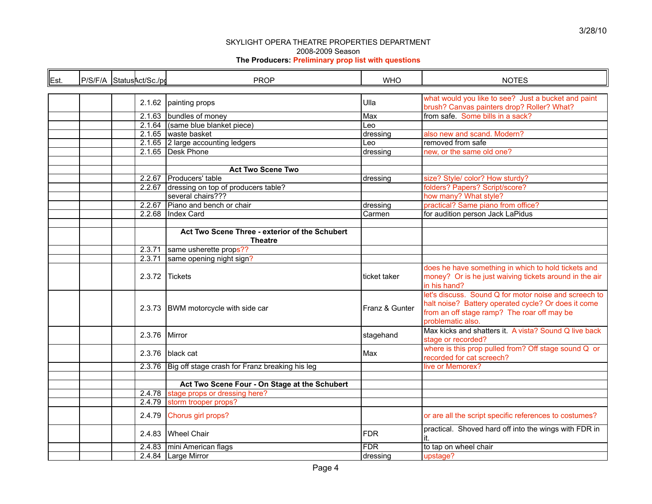| Est. | P/S/F/A StatusAct/Sc./pd |  |        | <b>PROP</b>                                                      | <b>WHO</b>     | <b>NOTES</b>                                                                                                                                                                     |  |  |
|------|--------------------------|--|--------|------------------------------------------------------------------|----------------|----------------------------------------------------------------------------------------------------------------------------------------------------------------------------------|--|--|
|      |                          |  |        |                                                                  |                |                                                                                                                                                                                  |  |  |
|      |                          |  |        | 2.1.62 painting props                                            | Ulla           | what would you like to see? Just a bucket and paint<br>brush? Canvas painters drop? Roller? What?                                                                                |  |  |
|      |                          |  |        | 2.1.63 bundles of money                                          | Max            | from safe. Some bills in a sack?                                                                                                                                                 |  |  |
|      |                          |  |        | $2.1.64$ (same blue blanket piece)                               | Leo            |                                                                                                                                                                                  |  |  |
|      |                          |  |        | 2.1.65 waste basket                                              | dressing       | also new and scand. Modern?                                                                                                                                                      |  |  |
|      |                          |  |        | 2.1.65 2 large accounting ledgers                                | Leo            | removed from safe                                                                                                                                                                |  |  |
|      |                          |  |        | 2.1.65 Desk Phone                                                | dressing       | new, or the same old one?                                                                                                                                                        |  |  |
|      |                          |  |        |                                                                  |                |                                                                                                                                                                                  |  |  |
|      |                          |  |        | <b>Act Two Scene Two</b>                                         |                |                                                                                                                                                                                  |  |  |
|      |                          |  | 2.2.67 | Producers' table                                                 | dressing       | size? Style/ color? How sturdy?                                                                                                                                                  |  |  |
|      |                          |  | 2.2.67 | dressing on top of producers table?                              |                | folders? Papers? Script/score?                                                                                                                                                   |  |  |
|      |                          |  |        | several chairs???                                                |                | how many? What style?                                                                                                                                                            |  |  |
|      |                          |  |        | 2.2.67 Piano and bench or chair                                  | dressing       | practical? Same piano from office?                                                                                                                                               |  |  |
|      |                          |  |        | 2.2.68 Index Card                                                | Carmen         | for audition person Jack LaPidus                                                                                                                                                 |  |  |
|      |                          |  |        |                                                                  |                |                                                                                                                                                                                  |  |  |
|      |                          |  |        |                                                                  |                |                                                                                                                                                                                  |  |  |
|      |                          |  |        | Act Two Scene Three - exterior of the Schubert<br><b>Theatre</b> |                |                                                                                                                                                                                  |  |  |
|      |                          |  |        | 2.3.71 same usherette props??                                    |                |                                                                                                                                                                                  |  |  |
|      |                          |  | 2.3.71 | same opening night sign?                                         |                |                                                                                                                                                                                  |  |  |
|      |                          |  | 2.3.72 | Tickets                                                          | ticket taker   | does he have something in which to hold tickets and<br>money? Or is he just waiving tickets around in the air<br>in his hand?                                                    |  |  |
|      |                          |  |        | 2.3.73 BWM motorcycle with side car                              | Franz & Gunter | let's discuss. Sound Q for motor noise and screech to<br>halt noise? Battery operated cycle? Or does it come<br>from an off stage ramp? The roar off may be<br>problematic also. |  |  |
|      |                          |  | 2.3.76 | Mirror                                                           | stagehand      | Max kicks and shatters it. A vista? Sound Q live back<br>stage or recorded?                                                                                                      |  |  |
|      |                          |  |        | 2.3.76 black cat                                                 | Max            | where is this prop pulled from? Off stage sound Q or<br>recorded for cat screech?                                                                                                |  |  |
|      |                          |  |        | 2.3.76 Big off stage crash for Franz breaking his leg            |                | live or Memorex?                                                                                                                                                                 |  |  |
|      |                          |  |        |                                                                  |                |                                                                                                                                                                                  |  |  |
|      |                          |  |        | Act Two Scene Four - On Stage at the Schubert                    |                |                                                                                                                                                                                  |  |  |
|      |                          |  |        | 2.4.78 stage props or dressing here?                             |                |                                                                                                                                                                                  |  |  |
|      |                          |  | 2.4.79 | storm trooper props?                                             |                |                                                                                                                                                                                  |  |  |
|      |                          |  | 2.4.79 | Chorus girl props?                                               |                | or are all the script specific references to costumes?                                                                                                                           |  |  |
|      |                          |  |        | 2.4.83 Wheel Chair                                               | <b>FDR</b>     | practical. Shoved hard off into the wings with FDR in<br>it.                                                                                                                     |  |  |
|      |                          |  | 2.4.83 | mini American flags                                              | <b>FDR</b>     | to tap on wheel chair                                                                                                                                                            |  |  |
|      |                          |  |        | 2.4.84 Large Mirror                                              | dressing       | upstage?                                                                                                                                                                         |  |  |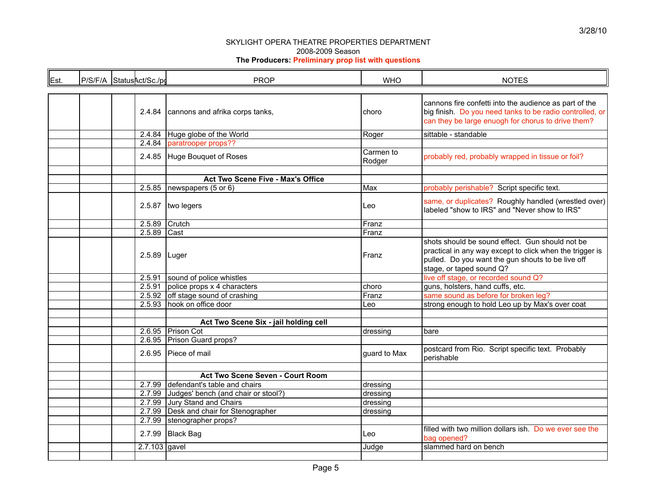| Est. |  | P/S/F/A StatusAct/Sc./pd | <b>PROP</b>                                                         | <b>WHO</b>          | <b>NOTES</b>                                                                                                                                                                                 |  |  |
|------|--|--------------------------|---------------------------------------------------------------------|---------------------|----------------------------------------------------------------------------------------------------------------------------------------------------------------------------------------------|--|--|
|      |  |                          |                                                                     |                     |                                                                                                                                                                                              |  |  |
|      |  |                          | 2.4.84 cannons and afrika corps tanks,                              | choro               | cannons fire confetti into the audience as part of the<br>big finish. Do you need tanks to be radio controlled, or<br>can they be large enuogh for chorus to drive them?                     |  |  |
|      |  |                          | 2.4.84 Huge globe of the World                                      | Roger               | sittable - standable                                                                                                                                                                         |  |  |
|      |  |                          | 2.4.84 paratrooper props??                                          |                     |                                                                                                                                                                                              |  |  |
|      |  |                          | 2.4.85 Huge Bouquet of Roses                                        | Carmen to<br>Rodger | probably red, probably wrapped in tissue or foil?                                                                                                                                            |  |  |
|      |  |                          | Act Two Scene Five - Max's Office                                   |                     |                                                                                                                                                                                              |  |  |
|      |  |                          | 2.5.85 newspapers $(5 \text{ or } 6)$                               | Max                 | probably perishable? Script specific text.                                                                                                                                                   |  |  |
|      |  |                          | 2.5.87   two legers                                                 | Leo                 | same, or duplicates? Roughly handled (wrestled over)<br>labeled "show to IRS" and "Never show to IRS"                                                                                        |  |  |
|      |  |                          | 2.5.89 Crutch                                                       | Franz               |                                                                                                                                                                                              |  |  |
|      |  | 2.5.89                   | Cast                                                                | Franz               |                                                                                                                                                                                              |  |  |
|      |  |                          | 2.5.89 Luger                                                        | Franz               | shots should be sound effect. Gun should not be<br>practical in any way except to click when the trigger is<br>pulled. Do you want the gun shouts to be live off<br>stage, or taped sound Q? |  |  |
|      |  |                          | 2.5.91 sound of police whistles                                     |                     | live off stage, or recorded sound Q?                                                                                                                                                         |  |  |
|      |  |                          | 2.5.91 police props $x$ 4 characters                                | choro               | guns, holsters, hand cuffs, etc.                                                                                                                                                             |  |  |
|      |  |                          | 2.5.92 off stage sound of crashing                                  | Franz               | same sound as before for broken leg?                                                                                                                                                         |  |  |
|      |  |                          | 2.5.93 hook on office door                                          | Leo                 | strong enough to hold Leo up by Max's over coat                                                                                                                                              |  |  |
|      |  |                          | Act Two Scene Six - jail holding cell                               |                     |                                                                                                                                                                                              |  |  |
|      |  |                          | 2.6.95 Prison Cot                                                   | dressing            | bare                                                                                                                                                                                         |  |  |
|      |  |                          | 2.6.95 Prison Guard props?                                          |                     |                                                                                                                                                                                              |  |  |
|      |  | 2.6.95                   | Piece of mail                                                       | guard to Max        | postcard from Rio. Script specific text. Probably<br>perishable                                                                                                                              |  |  |
|      |  |                          |                                                                     |                     |                                                                                                                                                                                              |  |  |
|      |  |                          | Act Two Scene Seven - Court Room<br>defendant's table and chairs    |                     |                                                                                                                                                                                              |  |  |
|      |  | 2.7.99                   |                                                                     | dressing            |                                                                                                                                                                                              |  |  |
|      |  |                          | 2.7.99 Judges' bench (and chair or stool?)<br>Jury Stand and Chairs | dressing            |                                                                                                                                                                                              |  |  |
|      |  | 2.7.99                   | 2.7.99 Desk and chair for Stenographer                              | dressing            |                                                                                                                                                                                              |  |  |
|      |  |                          | 2.7.99 stenographer props?                                          | dressing            |                                                                                                                                                                                              |  |  |
|      |  |                          |                                                                     |                     | filled with two million dollars ish. Do we ever see the                                                                                                                                      |  |  |
|      |  |                          | 2.7.99 Black Bag                                                    | Leo                 | bag opened?                                                                                                                                                                                  |  |  |
|      |  |                          | $2.7.103$ gavel                                                     | Judge               | slammed hard on bench                                                                                                                                                                        |  |  |
|      |  |                          |                                                                     |                     |                                                                                                                                                                                              |  |  |